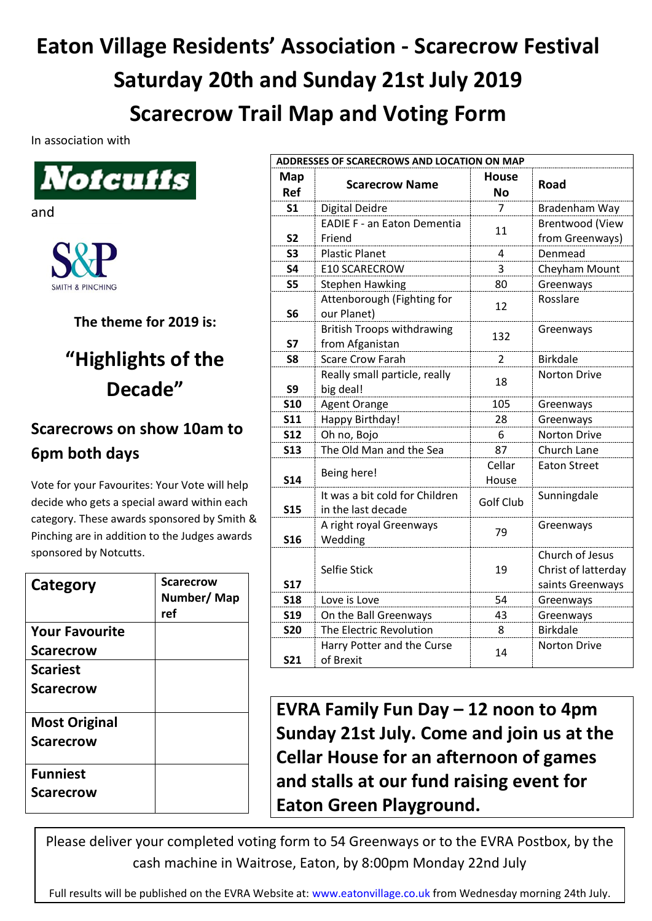## **Eaton Village Residents' Association - Scarecrow Festival Saturday 20th and Sunday 21st July 2019 Scarecrow Trail Map and Voting Form**

In association with



and



**The theme for 2019 is:**

## **"Highlights of the Decade"**

## **Scarecrows on show 10am to 6pm both days**

Vote for your Favourites: Your Vote will help decide who gets a special award within each category. These awards sponsored by Smith & Pinching are in addition to the Judges awards sponsored by Notcutts.

| Category              | <b>Scarecrow</b><br>Number/Map<br>ref |
|-----------------------|---------------------------------------|
| <b>Your Favourite</b> |                                       |
| <b>Scarecrow</b>      |                                       |
| <b>Scariest</b>       |                                       |
| <b>Scarecrow</b>      |                                       |
| <b>Most Original</b>  |                                       |
| <b>Scarecrow</b>      |                                       |
| <b>Funniest</b>       |                                       |
| <b>Scarecrow</b>      |                                       |

| ADDRESSES OF SCARECROWS AND LOCATION ON MAP |                                                      |                           |                                                            |  |
|---------------------------------------------|------------------------------------------------------|---------------------------|------------------------------------------------------------|--|
| Map<br>Ref                                  | <b>Scarecrow Name</b>                                | <b>House</b><br><b>No</b> | <b>Road</b>                                                |  |
| S <sub>1</sub>                              | Digital Deidre                                       | 7                         | Bradenham Way                                              |  |
|                                             | <b>EADIE F - an Eaton Dementia</b>                   | 11                        | <b>Brentwood (View</b>                                     |  |
| S <sub>2</sub>                              | Friend                                               |                           | from Greenways)                                            |  |
| S <sub>3</sub>                              | <b>Plastic Planet</b>                                | 4                         | Denmead                                                    |  |
| <b>S4</b>                                   | <b>E10 SCARECROW</b>                                 | $\overline{3}$            | Cheyham Mount                                              |  |
| <b>S5</b>                                   | <b>Stephen Hawking</b>                               | 80                        | Greenways                                                  |  |
| S <sub>6</sub>                              | Attenborough (Fighting for<br>our Planet)            | 12                        | Rosslare                                                   |  |
| <b>S7</b>                                   | <b>British Troops withdrawing</b><br>from Afganistan | 132                       | Greenways                                                  |  |
| S8                                          | <b>Scare Crow Farah</b>                              | $\overline{2}$            | <b>Birkdale</b>                                            |  |
| S <sub>9</sub>                              | Really small particle, really<br>big deal!           | 18                        | <b>Norton Drive</b>                                        |  |
| <b>S10</b>                                  | <b>Agent Orange</b>                                  | 105                       | Greenways                                                  |  |
| <b>S11</b>                                  | Happy Birthday!                                      | 28                        | Greenways                                                  |  |
| <b>S12</b>                                  | Oh no, Bojo                                          | 6                         | Norton Drive                                               |  |
| <b>S13</b>                                  | The Old Man and the Sea                              | 87                        | Church Lane                                                |  |
| <b>S14</b>                                  | Being here!                                          | Cellar<br>House           | <b>Eaton Street</b>                                        |  |
| <b>S15</b>                                  | It was a bit cold for Children<br>in the last decade | Golf Club                 | Sunningdale                                                |  |
| <b>S16</b>                                  | A right royal Greenways<br>Wedding                   | 79                        | Greenways                                                  |  |
| <b>S17</b>                                  | Selfie Stick                                         | 19                        | Church of Jesus<br>Christ of latterday<br>saints Greenways |  |
| <b>S18</b>                                  | Love is Love                                         | 54                        | Greenways                                                  |  |
| <b>S19</b>                                  | On the Ball Greenways                                | 43                        | Greenways                                                  |  |
| <b>S20</b>                                  | The Electric Revolution                              | 8                         | <b>Birkdale</b>                                            |  |
| <b>S21</b>                                  | Harry Potter and the Curse<br>of Brexit              | 14                        | <b>Norton Drive</b>                                        |  |

**EVRA Family Fun Day – 12 noon to 4pm Sunday 21st July. Come and join us at the Cellar House for an afternoon of games and stalls at our fund raising event for Eaton Green Playground.**

Please deliver your completed voting form to 54 Greenways or to the EVRA Postbox, by the cash machine in Waitrose, Eaton, by 8:00pm Monday 22nd July

Full results will be published on the EVRA Website at: [www.eatonvillage.co.uk](http://www.eatonvillage.co.uk/) from Wednesday morning 24th July.